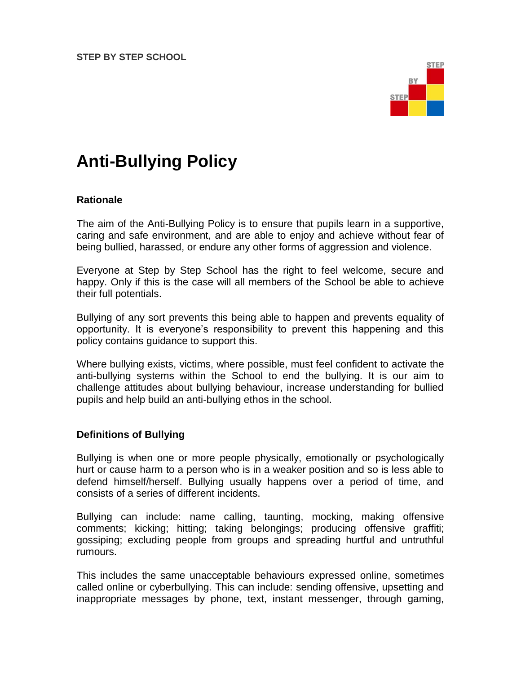**STEP BY STEP SCHOOL**



# **Anti-Bullying Policy**

#### **Rationale**

The aim of the Anti-Bullying Policy is to ensure that pupils learn in a supportive, caring and safe environment, and are able to enjoy and achieve without fear of being bullied, harassed, or endure any other forms of aggression and violence.

Everyone at Step by Step School has the right to feel welcome, secure and happy. Only if this is the case will all members of the School be able to achieve their full potentials.

Bullying of any sort prevents this being able to happen and prevents equality of opportunity. It is everyone's responsibility to prevent this happening and this policy contains guidance to support this.

Where bullying exists, victims, where possible, must feel confident to activate the anti-bullying systems within the School to end the bullying. It is our aim to challenge attitudes about bullying behaviour, increase understanding for bullied pupils and help build an anti-bullying ethos in the school.

## **Definitions of Bullying**

Bullying is when one or more people physically, emotionally or psychologically hurt or cause harm to a person who is in a weaker position and so is less able to defend himself/herself. Bullying usually happens over a period of time, and consists of a series of different incidents.

Bullying can include: name calling, taunting, mocking, making offensive comments; kicking; hitting; taking belongings; producing offensive graffiti; gossiping; excluding people from groups and spreading hurtful and untruthful rumours.

This includes the same unacceptable behaviours expressed online, sometimes called online or cyberbullying. This can include: sending offensive, upsetting and inappropriate messages by phone, text, instant messenger, through gaming,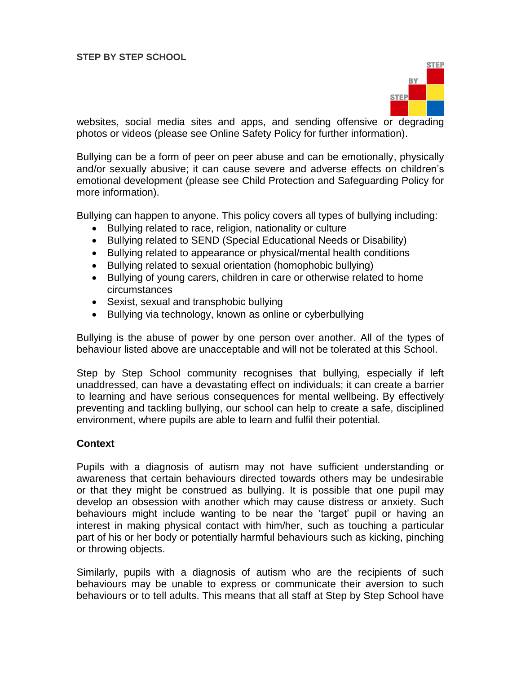

websites, social media sites and apps, and sending offensive or degrading photos or videos (please see Online Safety Policy for further information).

Bullying can be a form of peer on peer abuse and can be emotionally, physically and/or sexually abusive; it can cause severe and adverse effects on children's emotional development (please see Child Protection and Safeguarding Policy for more information).

Bullying can happen to anyone. This policy covers all types of bullying including:

- Bullying related to race, religion, nationality or culture
- Bullying related to SEND (Special Educational Needs or Disability)
- Bullying related to appearance or physical/mental health conditions
- Bullying related to sexual orientation (homophobic bullying)
- Bullying of young carers, children in care or otherwise related to home circumstances
- Sexist, sexual and transphobic bullying
- Bullying via technology, known as online or cyberbullying

Bullying is the abuse of power by one person over another. All of the types of behaviour listed above are unacceptable and will not be tolerated at this School.

Step by Step School community recognises that bullying, especially if left unaddressed, can have a devastating effect on individuals; it can create a barrier to learning and have serious consequences for mental wellbeing. By effectively preventing and tackling bullying, our school can help to create a safe, disciplined environment, where pupils are able to learn and fulfil their potential.

## **Context**

Pupils with a diagnosis of autism may not have sufficient understanding or awareness that certain behaviours directed towards others may be undesirable or that they might be construed as bullying. It is possible that one pupil may develop an obsession with another which may cause distress or anxiety. Such behaviours might include wanting to be near the 'target' pupil or having an interest in making physical contact with him/her, such as touching a particular part of his or her body or potentially harmful behaviours such as kicking, pinching or throwing objects.

Similarly, pupils with a diagnosis of autism who are the recipients of such behaviours may be unable to express or communicate their aversion to such behaviours or to tell adults. This means that all staff at Step by Step School have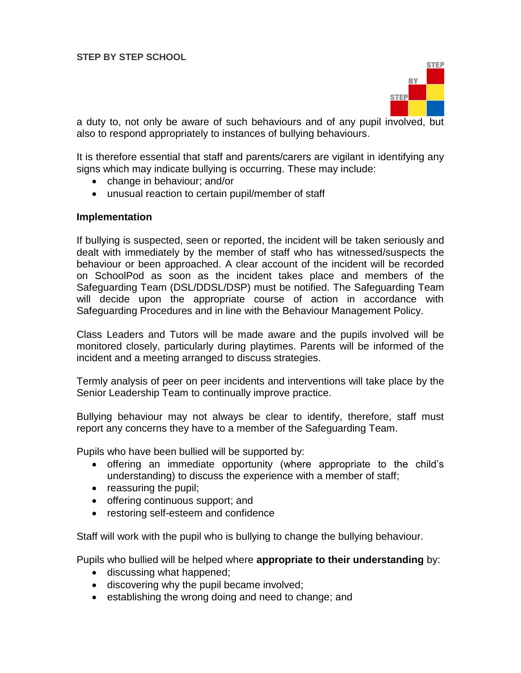

a duty to, not only be aware of such behaviours and of any pupil involved, but also to respond appropriately to instances of bullying behaviours.

It is therefore essential that staff and parents/carers are vigilant in identifying any signs which may indicate bullying is occurring. These may include:

- change in behaviour; and/or
- unusual reaction to certain pupil/member of staff

#### **Implementation**

If bullying is suspected, seen or reported, the incident will be taken seriously and dealt with immediately by the member of staff who has witnessed/suspects the behaviour or been approached. A clear account of the incident will be recorded on SchoolPod as soon as the incident takes place and members of the Safeguarding Team (DSL/DDSL/DSP) must be notified. The Safeguarding Team will decide upon the appropriate course of action in accordance with Safeguarding Procedures and in line with the Behaviour Management Policy.

Class Leaders and Tutors will be made aware and the pupils involved will be monitored closely, particularly during playtimes. Parents will be informed of the incident and a meeting arranged to discuss strategies.

Termly analysis of peer on peer incidents and interventions will take place by the Senior Leadership Team to continually improve practice.

Bullying behaviour may not always be clear to identify, therefore, staff must report any concerns they have to a member of the Safeguarding Team.

Pupils who have been bullied will be supported by:

- offering an immediate opportunity (where appropriate to the child's understanding) to discuss the experience with a member of staff;
- reassuring the pupil:
- offering continuous support; and
- restoring self-esteem and confidence

Staff will work with the pupil who is bullying to change the bullying behaviour.

Pupils who bullied will be helped where **appropriate to their understanding** by:

- discussing what happened;
- discovering why the pupil became involved;
- establishing the wrong doing and need to change; and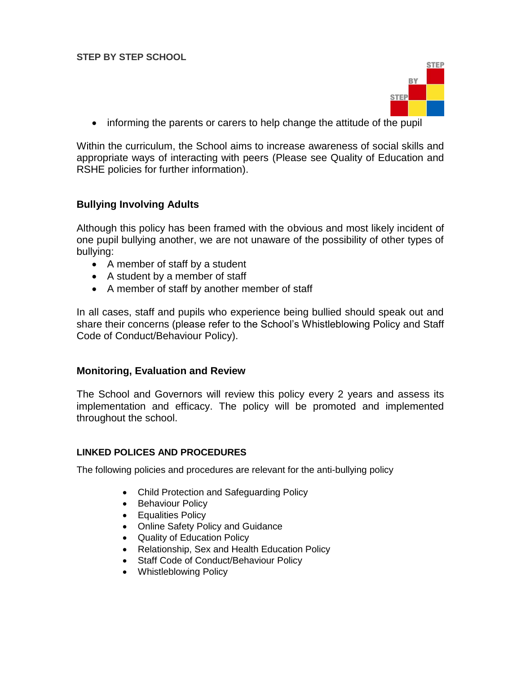

informing the parents or carers to help change the attitude of the pupil

Within the curriculum, the School aims to increase awareness of social skills and appropriate ways of interacting with peers (Please see Quality of Education and RSHE policies for further information).

## **Bullying Involving Adults**

Although this policy has been framed with the obvious and most likely incident of one pupil bullying another, we are not unaware of the possibility of other types of bullying:

- A member of staff by a student
- A student by a member of staff
- A member of staff by another member of staff

In all cases, staff and pupils who experience being bullied should speak out and share their concerns (please refer to the School's Whistleblowing Policy and Staff Code of Conduct/Behaviour Policy).

#### **Monitoring, Evaluation and Review**

The School and Governors will review this policy every 2 years and assess its implementation and efficacy. The policy will be promoted and implemented throughout the school.

#### **LINKED POLICES AND PROCEDURES**

The following policies and procedures are relevant for the anti-bullying policy

- Child Protection and Safeguarding Policy
- Behaviour Policy
- **•** Equalities Policy
- Online Safety Policy and Guidance
- Quality of Education Policy
- Relationship, Sex and Health Education Policy
- Staff Code of Conduct/Behaviour Policy
- Whistleblowing Policy